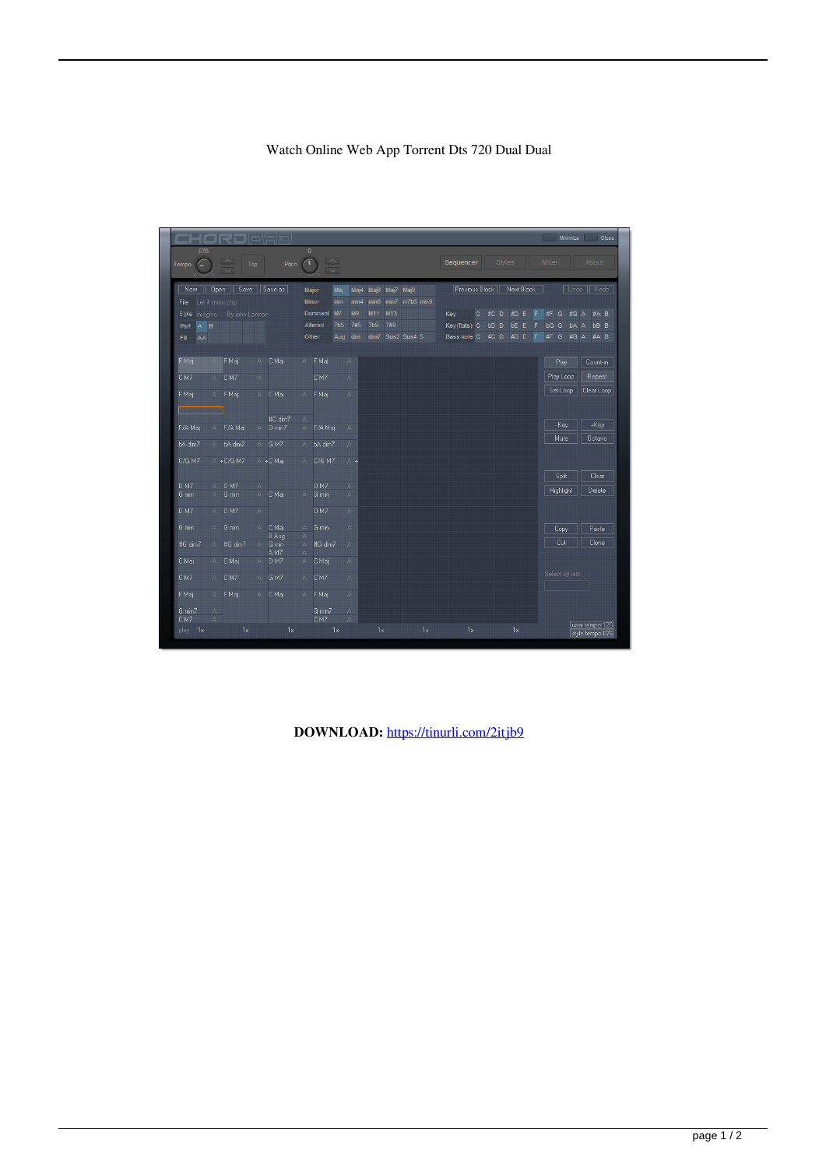## Watch Online Web App Torrent Dts 720 Dual Dual

| CHORJP'EID,                      |                              |                                                             |                |                         |                                   |                                            |                          |                         |                |                |    |     |                |         |                     |               |             |   |   |                 | Minimize  |                      |                                   | Close |
|----------------------------------|------------------------------|-------------------------------------------------------------|----------------|-------------------------|-----------------------------------|--------------------------------------------|--------------------------|-------------------------|----------------|----------------|----|-----|----------------|---------|---------------------|---------------|-------------|---|---|-----------------|-----------|----------------------|-----------------------------------|-------|
| 076<br>Tempo<br>r –              |                              | $\curvearrowright$<br><b>Tap</b><br>$\overline{\mathbf{v}}$ |                | Pitch                   | $\overline{0}$                    | $\sim$<br>$\overline{\mathbf{v}}$          |                          |                         |                |                |    |     | Sequencer      |         |                     | <b>Styles</b> |             |   |   | <b>Mixer</b>    |           |                      | About                             |       |
| New  <br>Let it snow.chp<br>File | <b>Open</b>                  | Save Save as                                                |                |                         |                                   | Major<br>Maj<br><b>Minor</b><br>min        | Mai4<br>min <sub>4</sub> | min6                    | Maj6 Maj7 Maj9 | min7 m7b5 min9 |    |     | Previous Block |         |                     |               | Next Block  |   |   |                 |           |                      | Undo Redo                         |       |
| Style<br>Imagine                 |                              | By john Lennon                                              |                |                         |                                   | M7<br><b>Dominant</b>                      | M9                       | M11                     | M13            |                |    | Key |                | $\circ$ | #C D                |               | #D E        |   | F | #F              | G         | #G A                 | #A B                              |       |
| $A$ $B$<br>Part                  |                              |                                                             |                |                         |                                   | Altered<br>7 <sub>b5</sub><br>Other<br>Aug | 7#5                      | 7 <sub>b9</sub><br>dim7 | 7#9            | Sus2 Sus4 5    |    |     | Key(flats) C   |         | <b>bD</b> D<br>#C D |               | bE.<br>#D E | F | F | bG G<br>#F      | G         | bA<br>$\overline{A}$ | <b>bB</b> B<br>#A B               |       |
| Fill<br>AA                       |                              |                                                             |                |                         |                                   |                                            | dim                      |                         |                |                |    |     | Bass note C    |         |                     |               |             |   |   |                 |           | #G A                 |                                   |       |
| F Maj                            |                              | F Maj                                                       | ΑT             | C Maj                   | A                                 | F Maj                                      | A                        |                         |                |                |    |     |                |         |                     |               |             |   |   |                 | Play      |                      | Count-in                          |       |
| CM7                              | A                            | CM7                                                         | A              |                         |                                   | CM7                                        | A                        |                         |                |                |    |     |                |         |                     |               |             |   |   |                 | Play Loop |                      | Repeat                            |       |
| <b>F</b> Maj                     | A.                           | F Maj                                                       | A              | C Maj                   | A                                 | F Maj                                      | A                        |                         |                |                |    |     |                |         |                     |               |             |   |   |                 | Set Loop  |                      | Clear Loop                        |       |
|                                  |                              |                                                             |                | #C dim7                 | $\mathbb{A}.$                     |                                            |                          |                         |                |                |    |     |                |         |                     |               |             |   |   |                 |           |                      |                                   |       |
| F/A Maj                          | A                            | F/A Maj                                                     | A              | $D \text{ min}$         | $\mathbb{A}$                      | F/A Maj                                    | A                        |                         |                |                |    |     |                |         |                     |               |             |   |   |                 | - Key     |                      | $+Key$                            |       |
| bA dim7                          |                              | A bA dim7                                                   |                | A GM7                   | $\Delta$                          | bA dim7                                    | A                        |                         |                |                |    |     |                |         |                     |               |             |   |   |                 | Mute      |                      | <b>Octave</b>                     |       |
| <b>C/G M7</b>                    |                              | A +C/G M7                                                   |                | A +C Maj                | $A -$                             | C/G M7                                     | $A +$                    |                         |                |                |    |     |                |         |                     |               |             |   |   |                 | Split     |                      | Clear                             |       |
| D <sub>M7</sub>                  | A                            | D <sub>M7</sub>                                             | Α              |                         |                                   | <b>D M7</b>                                | А                        |                         |                |                |    |     |                |         |                     |               |             |   |   |                 |           |                      |                                   |       |
| G min                            | A                            | G min                                                       | $\mathbb{A}^-$ | C Maj                   | $\mathbb{A}$                      | G min                                      | A                        |                         |                |                |    |     |                |         |                     |               |             |   |   |                 | Highlight |                      | Delete                            |       |
| D <sub>M7</sub>                  | A                            | D <sub>M7</sub>                                             | A              |                         |                                   | D M7                                       | A                        |                         |                |                |    |     |                |         |                     |               |             |   |   |                 |           |                      |                                   |       |
| G min                            | $\mathbb{A}$                 | G min                                                       | A              | C Maj                   | A                                 | G min                                      | A                        |                         |                |                |    |     |                |         |                     |               |             |   |   |                 | Copy      |                      | Paste                             |       |
| #G dim7                          | A                            | #G dim7                                                     |                | B Aug<br>A G min<br>AM7 | $\mathbb{A}$<br>A<br>$\mathbf{A}$ | #G dim7                                    | A                        |                         |                |                |    |     |                |         |                     |               |             |   |   |                 | Cut       |                      | Clone                             |       |
| C Maj                            | $\mathbb{A}$                 | C Maj                                                       | A              | D <sub>M7</sub>         | A                                 | C Maj                                      | 省                        |                         |                |                |    |     |                |         |                     |               |             |   |   |                 |           |                      |                                   |       |
| CM7                              | A                            | CM7                                                         | A              | G M7                    | $\Delta$                          | CM7                                        | A                        |                         |                |                |    |     |                |         |                     |               |             |   |   | Select by text: |           |                      |                                   |       |
| FMaj                             | A                            | F Maj                                                       | A              | C Maj                   | A                                 | F Maj                                      | A                        |                         |                |                |    |     |                |         |                     |               |             |   |   |                 |           |                      |                                   |       |
| G min7<br>CM7                    | $\mathbb{A}$<br>$\mathbb{A}$ |                                                             |                |                         |                                   | G min7<br>CM7                              | A<br>A                   |                         |                |                |    |     |                |         |                     |               |             |   |   |                 |           |                      |                                   |       |
| play 1x                          |                              | 1x                                                          |                | 1x                      |                                   | 1x                                         |                          | 1x                      |                |                | 1x |     |                | 1x      |                     |               | 1x          |   |   |                 |           |                      | user tempo:120<br>style tempo:076 |       |

**DOWNLOAD:** <https://tinurli.com/2itjb9>